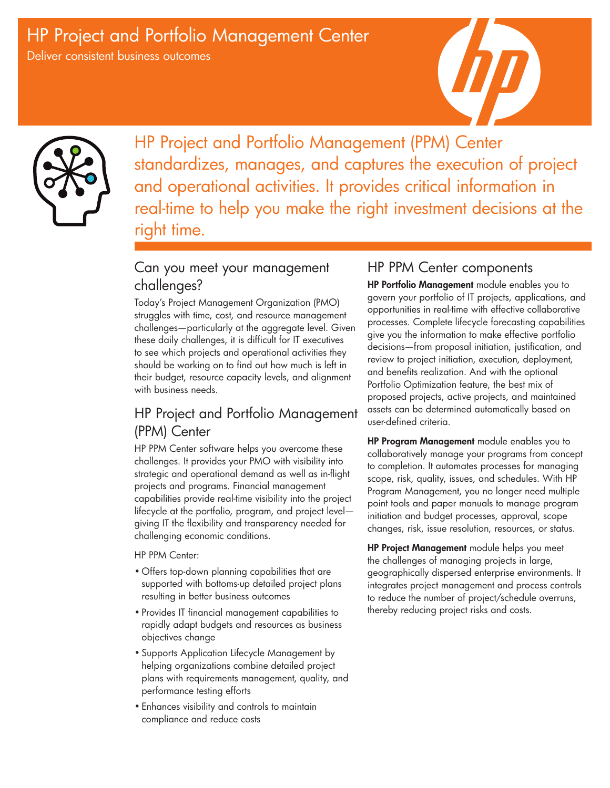# HP Project and Portfolio Management Center

Deliver consistent business outcomes





HP Project and Portfolio Management (PPM) Center standardizes, manages, and captures the execution of project and operational activities. It provides critical information in real-time to help you make the right investment decisions at the right time.

# Can you meet your management challenges?

Today's Project Management Organization (PMO) struggles with time, cost, and resource management challenges—particularly at the aggregate level. Given these daily challenges, it is difficult for IT executives to see which projects and operational activities they should be working on to find out how much is left in their budget, resource capacity levels, and alignment with business needs.

# HP Project and Portfolio Management (PPM) Center

HP PPM Center software helps you overcome these challenges. It provides your PMO with visibility into strategic and operational demand as well as in-flight projects and programs. Financial management capabilities provide real-time visibility into the project lifecycle at the portfolio, program, and project level giving IT the flexibility and transparency needed for challenging economic conditions.

HP PPM Center:

- • Offers top-down planning capabilities that are supported with bottoms-up detailed project plans resulting in better business outcomes
- • Provides IT financial management capabilities to rapidly adapt budgets and resources as business objectives change
- Supports Application Lifecycle Management by helping organizations combine detailed project plans with requirements management, quality, and performance testing efforts
- • Enhances visibility and controls to maintain compliance and reduce costs

## HP PPM Center components

HP Portfolio Management module enables you to govern your portfolio of IT projects, applications, and opportunities in real-time with effective collaborative processes. Complete lifecycle forecasting capabilities give you the information to make effective portfolio decisions—from proposal initiation, justification, and review to project initiation, execution, deployment, and benefits realization. And with the optional Portfolio Optimization feature, the best mix of proposed projects, active projects, and maintained assets can be determined automatically based on user-defined criteria.

HP Program Management module enables you to collaboratively manage your programs from concept to completion. It automates processes for managing scope, risk, quality, issues, and schedules. With HP Program Management, you no longer need multiple point tools and paper manuals to manage program initiation and budget processes, approval, scope changes, risk, issue resolution, resources, or status.

HP Project Management module helps you meet the challenges of managing projects in large, geographically dispersed enterprise environments. It integrates project management and process controls to reduce the number of project/schedule overruns, thereby reducing project risks and costs.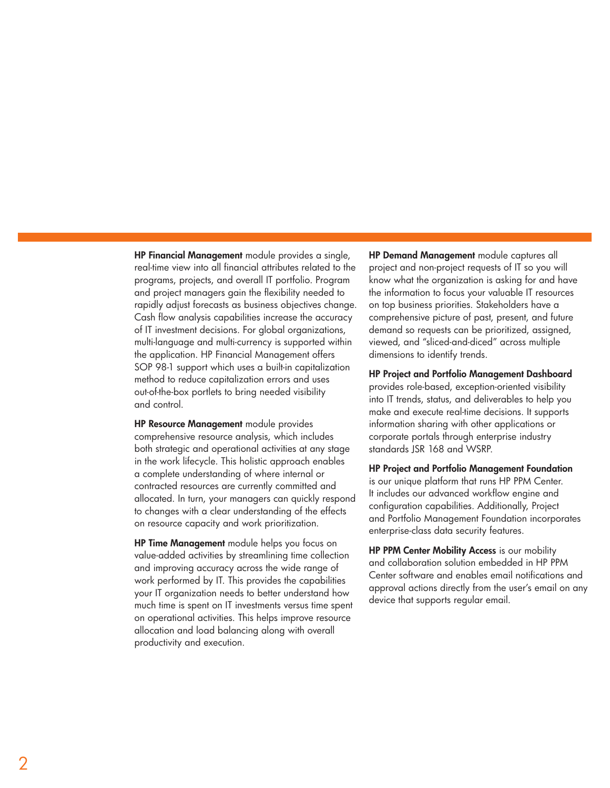HP Financial Management module provides a single, real-time view into all financial attributes related to the programs, projects, and overall IT portfolio. Program and project managers gain the flexibility needed to rapidly adjust forecasts as business objectives change. Cash flow analysis capabilities increase the accuracy of IT investment decisions. For global organizations, multi-language and multi-currency is supported within the application. HP Financial Management offers SOP 98-1 support which uses a built-in capitalization method to reduce capitalization errors and uses out-of-the-box portlets to bring needed visibility and control.

HP Resource Management module provides comprehensive resource analysis, which includes both strategic and operational activities at any stage in the work lifecycle. This holistic approach enables a complete understanding of where internal or contracted resources are currently committed and allocated. In turn, your managers can quickly respond to changes with a clear understanding of the effects on resource capacity and work prioritization.

HP Time Management module helps you focus on value-added activities by streamlining time collection and improving accuracy across the wide range of work performed by IT. This provides the capabilities your IT organization needs to better understand how much time is spent on IT investments versus time spent on operational activities. This helps improve resource allocation and load balancing along with overall productivity and execution.

HP Demand Management module captures all project and non-project requests of IT so you will know what the organization is asking for and have the information to focus your valuable IT resources on top business priorities. Stakeholders have a comprehensive picture of past, present, and future demand so requests can be prioritized, assigned, viewed, and "sliced-and-diced" across multiple dimensions to identify trends.

HP Project and Portfolio Management Dashboard

provides role-based, exception-oriented visibility into IT trends, status, and deliverables to help you make and execute real-time decisions. It supports information sharing with other applications or corporate portals through enterprise industry standards JSR 168 and WSRP.

HP Project and Portfolio Management Foundation is our unique platform that runs HP PPM Center. It includes our advanced workflow engine and configuration capabilities. Additionally, Project and Portfolio Management Foundation incorporates enterprise-class data security features.

HP PPM Center Mobility Access is our mobility and collaboration solution embedded in HP PPM Center software and enables email notifications and approval actions directly from the user's email on any device that supports regular email.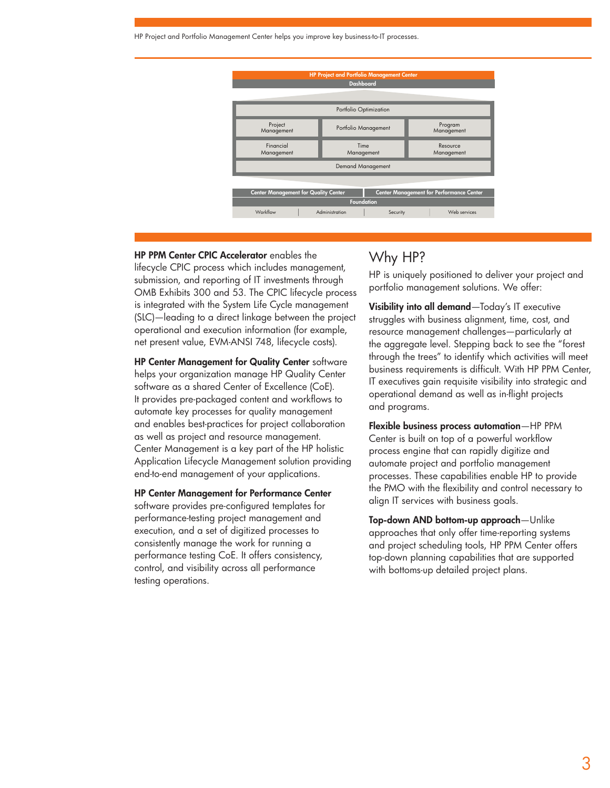HP Project and Portfolio Management Center helps you improve key business-to-IT processes.



#### HP PPM Center CPIC Accelerator enables the

lifecycle CPIC process which includes management, submission, and reporting of IT investments through OMB Exhibits 300 and 53. The CPIC lifecycle process is integrated with the System Life Cycle management (SLC)—leading to a direct linkage between the project operational and execution information (for example, net present value, EVM-ANSI 748, lifecycle costs).

HP Center Management for Quality Center software helps your organization manage HP Quality Center software as a shared Center of Excellence (CoE). It provides pre-packaged content and workflows to automate key processes for quality management and enables best-practices for project collaboration as well as project and resource management. Center Management is a key part of the HP holistic Application Lifecycle Management solution providing end-to-end management of your applications.

#### HP Center Management for Performance Center

software provides pre-configured templates for performance-testing project management and execution, and a set of digitized processes to consistently manage the work for running a performance testing CoE. It offers consistency, control, and visibility across all performance testing operations.

### Why HP?

HP is uniquely positioned to deliver your project and portfolio management solutions. We offer:

Visibility into all demand—Today's IT executive struggles with business alignment, time, cost, and resource management challenges—particularly at the aggregate level. Stepping back to see the "forest through the trees" to identify which activities will meet business requirements is difficult. With HP PPM Center, IT executives gain requisite visibility into strategic and operational demand as well as in-flight projects and programs.

Flexible business process automation—HP PPM Center is built on top of a powerful workflow process engine that can rapidly digitize and automate project and portfolio management processes. These capabilities enable HP to provide the PMO with the flexibility and control necessary to align IT services with business goals.

Top-down AND bottom-up approach—Unlike approaches that only offer time-reporting systems and project scheduling tools, HP PPM Center offers top-down planning capabilities that are supported with bottoms-up detailed project plans.